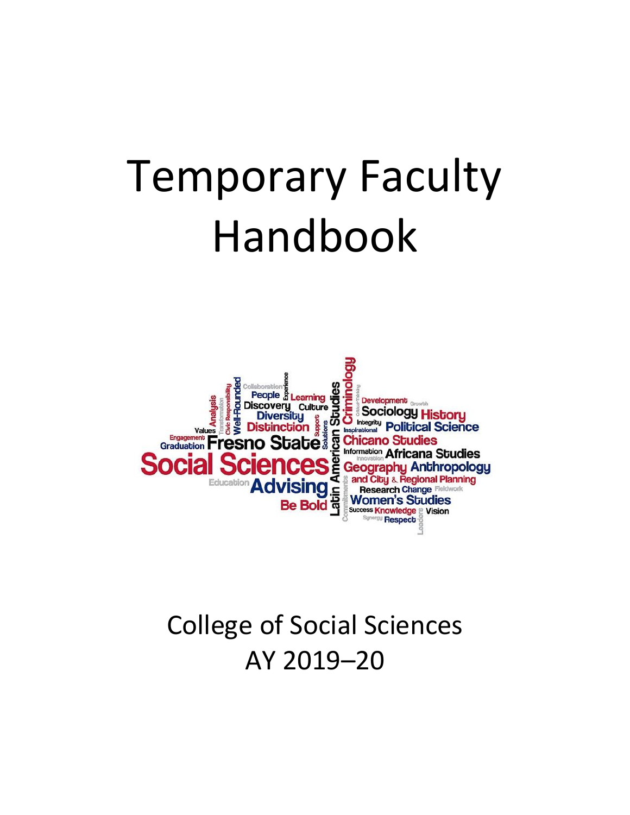# Temporary Faculty Handbook



# College of Social Sciences AY 2019–20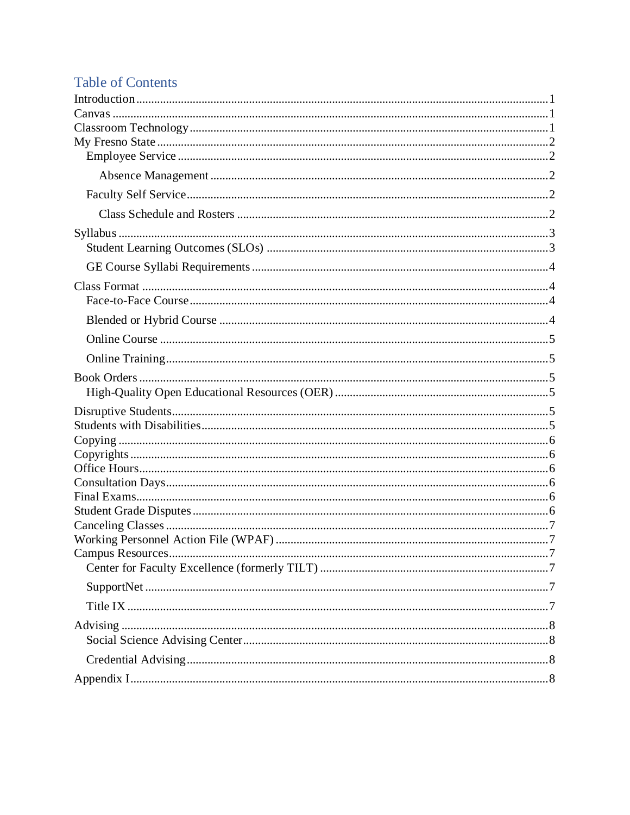# **Table of Contents**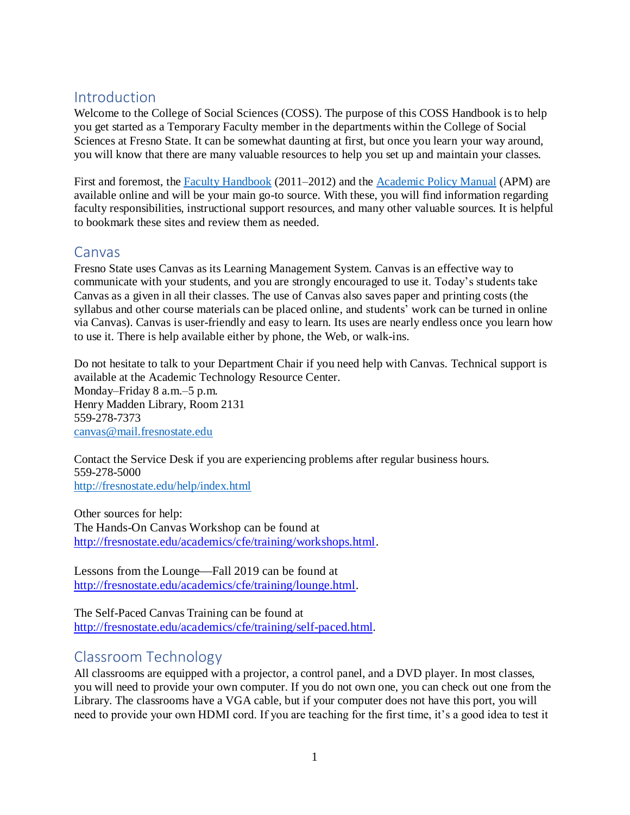# <span id="page-2-0"></span>Introduction

Welcome to the College of Social Sciences (COSS). The purpose of this COSS Handbook is to help you get started as a Temporary Faculty member in the departments within the College of Social Sciences at Fresno State. It can be somewhat daunting at first, but once you learn your way around, you will know that there are many valuable resources to help you set up and maintain your classes.

First and foremost, the [Faculty Handbook](http://fresnostate.edu/academics/facultyaffairs/procedures/faculty-handbook.html) (2011–2012) and the [Academic Policy Manual](http://www.fresnostate.edu/academics/facultyaffairs/policies/apm/index.html) (APM) are available online and will be your main go-to source. With these, you will find information regarding faculty responsibilities, instructional support resources, and many other valuable sources. It is helpful to bookmark these sites and review them as needed.

#### <span id="page-2-1"></span>Canvas

Fresno State uses Canvas as its Learning Management System. Canvas is an effective way to communicate with your students, and you are strongly encouraged to use it. Today's students take Canvas as a given in all their classes. The use of Canvas also saves paper and printing costs (the syllabus and other course materials can be placed online, and students' work can be turned in online via Canvas). Canvas is user-friendly and easy to learn. Its uses are nearly endless once you learn how to use it. There is help available either by phone, the Web, or walk-ins.

Do not hesitate to talk to your Department Chair if you need help with Canvas. Technical support is available at the Academic Technology Resource Center. Monday–Friday 8 a.m.–5 p.m. Henry Madden Library, Room 2131 559-278-7373 [canvas@mail.fresnostate.edu](mailto:canvas@mail.fresnostate.edu)

Contact the Service Desk if you are experiencing problems after regular business hours. 559-278-5000 <http://fresnostate.edu/help/index.html>

Other sources for help: The Hands-On Canvas Workshop can be found at [http://fresnostate.edu/academics/cfe/training/workshops.html.](http://fresnostate.edu/academics/cfe/training/workshops.html)

Lessons from the Lounge—Fall 2019 can be found at [http://fresnostate.edu/academics/cfe/training/lounge.html.](http://fresnostate.edu/academics/cfe/training/lounge.html)

The Self-Paced Canvas Training can be found at [http://fresnostate.edu/academics/cfe/training/self-paced.html.](http://fresnostate.edu/academics/cfe/training/self-paced.html)

# <span id="page-2-2"></span>Classroom Technology

All classrooms are equipped with a projector, a control panel, and a DVD player. In most classes, you will need to provide your own computer. If you do not own one, you can check out one from the Library. The classrooms have a VGA cable, but if your computer does not have this port, you will need to provide your own HDMI cord. If you are teaching for the first time, it's a good idea to test it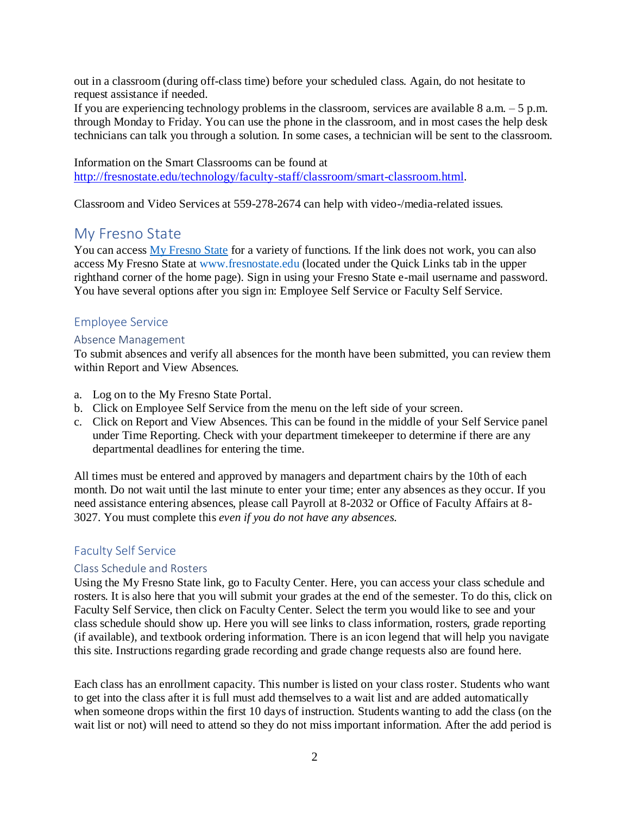out in a classroom (during off-class time) before your scheduled class. Again, do not hesitate to request assistance if needed.

If you are experiencing technology problems in the classroom, services are available  $8$  a.m.  $-5$  p.m. through Monday to Friday. You can use the phone in the classroom, and in most cases the help desk technicians can talk you through a solution. In some cases, a technician will be sent to the classroom.

Information on the Smart Classrooms can be found at <http://fresnostate.edu/technology/faculty-staff/classroom/smart-classroom.html>.

<span id="page-3-0"></span>Classroom and Video Services at 559-278-2674 can help with video-/media-related issues.

# My Fresno State

You can access [My Fresno State](https://my.fresnostate.edu/psp/mfs/EMPLOYEE/EMPL/h/?tab=PAPP_GUEST%20) for a variety of functions. If the link does not work, you can also access My Fresno State at www.fresnostate.edu (located under the Quick Links tab in the upper righthand corner of the home page). Sign in using your Fresno State e-mail username and password. You have several options after you sign in: Employee Self Service or Faculty Self Service.

#### <span id="page-3-1"></span>Employee Service

#### <span id="page-3-2"></span>Absence Management

To submit absences and verify all absences for the month have been submitted, you can review them within Report and View Absences.

- a. Log on to the My Fresno State Portal.
- b. Click on Employee Self Service from the menu on the left side of your screen.
- c. Click on Report and View Absences. This can be found in the middle of your Self Service panel under Time Reporting. Check with your department timekeeper to determine if there are any departmental deadlines for entering the time.

All times must be entered and approved by managers and department chairs by the 10th of each month. Do not wait until the last minute to enter your time; enter any absences as they occur. If you need assistance entering absences, please call Payroll at 8-2032 or Office of Faculty Affairs at 8- 3027. You must complete this *even if you do not have any absences.*

#### <span id="page-3-3"></span>Faculty Self Service

#### <span id="page-3-4"></span>Class Schedule and Rosters

Using the My Fresno State link, go to Faculty Center. Here, you can access your class schedule and rosters. It is also here that you will submit your grades at the end of the semester. To do this, click on Faculty Self Service, then click on Faculty Center. Select the term you would like to see and your class schedule should show up. Here you will see links to class information, rosters, grade reporting (if available), and textbook ordering information. There is an icon legend that will help you navigate this site. Instructions regarding grade recording and grade change requests also are found here.

Each class has an enrollment capacity. This number is listed on your class roster. Students who want to get into the class after it is full must add themselves to a wait list and are added automatically when someone drops within the first 10 days of instruction. Students wanting to add the class (on the wait list or not) will need to attend so they do not miss important information. After the add period is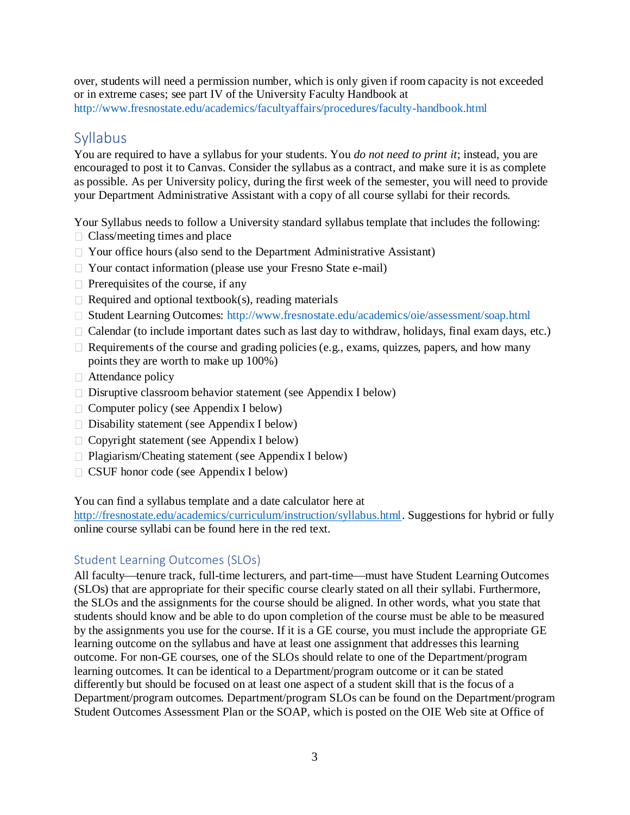over, students will need a permission number, which is only given if room capacity is not exceeded or in extreme cases; see part IV of the University Faculty Handbook at http://www.fresnostate.edu/academics/facultyaffairs/procedures/faculty-handbook.html

# <span id="page-4-0"></span>**Syllabus**

You are required to have a syllabus for your students. You *do not need to print it*; instead, you are encouraged to post it to Canvas. Consider the syllabus as a contract, and make sure it is as complete as possible. As per University policy, during the first week of the semester, you will need to provide your Department Administrative Assistant with a copy of all course syllabi for their records.

Your Syllabus needs to follow a University standard syllabus template that includes the following:

- $\Box$  Class/meeting times and place
- $\Box$  Your office hours (also send to the Department Administrative Assistant)
- □ Your contact information (please use your Fresno State e-mail)
- $\Box$  Prerequisites of the course, if any
- $\Box$  Required and optional textbook(s), reading materials
- Student Learning Outcomes: http://www.fresnostate.edu/academics/oie/assessment/soap.html
- Calendar (to include important dates such as last day to withdraw, holidays, final exam days, etc.)
- $\Box$  Requirements of the course and grading policies (e.g., exams, quizzes, papers, and how many points they are worth to make up 100%)
- $\Box$  Attendance policy
- $\Box$  Disruptive classroom behavior statement (see Appendix I below)
- $\Box$  Computer policy (see Appendix I below)
- $\Box$  Disability statement (see Appendix I below)
- $\Box$  Copyright statement (see Appendix I below)
- □ Plagiarism/Cheating statement (see Appendix I below)
- $\Box$  CSUF honor code (see Appendix I below)

You can find a syllabus template and a date calculator here at

<http://fresnostate.edu/academics/curriculum/instruction/syllabus.html>. Suggestions for hybrid or fully online course syllabi can be [found here in the red text.](http://fresnostate.edu/academics/cfe/documents/Fall%202019%20Syllabus%20Template_ONLINE.docx)

#### <span id="page-4-1"></span>Student Learning Outcomes (SLOs)

All faculty-tenure track, full-time lecturers, and part-time-must have Student Learning Outcomes (SLOs) that are appropriate for their specific course clearly stated on all their syllabi. Furthermore, the SLOs and the assignments for the course should be aligned. In other words, what you state that students should know and be able to do upon completion of the course must be able to be measured by the assignments you use for the course. If it is a GE course, you must include the appropriate GE learning outcome on the syllabus and have at least one assignment that addresses this learning outcome. For non-GE courses, one of the SLOs should relate to one of the Department/program learning outcomes. It can be identical to a Department/program outcome or it can be stated differently but should be focused on at least one aspect of a student skill that is the focus of a Department/program outcomes. Department/program SLOs can be found on the Department/program Student Outcomes Assessment Plan or the SOAP, which is posted on the OIE Web site at Office of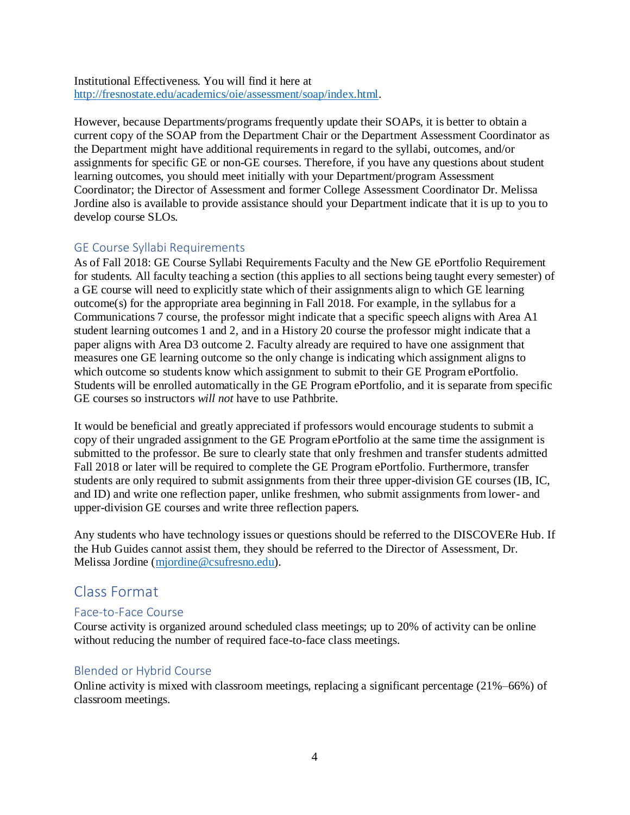Institutional Effectiveness. You will find it here at [http://fresnostate.edu/academics/oie/assessment/soap/index.html.](http://fresnostate.edu/academics/oie/assessment/soap/index.html)

However, because Departments/programs frequently update their SOAPs, it is better to obtain a current copy of the SOAP from the Department Chair or the Department Assessment Coordinator as the Department might have additional requirements in regard to the syllabi, outcomes, and/or assignments for specific GE or non-GE courses. Therefore, if you have any questions about student learning outcomes, you should meet initially with your Department/program Assessment Coordinator; the Director of Assessment and former College Assessment Coordinator Dr. Melissa Jordine also is available to provide assistance should your Department indicate that it is up to you to develop course SLOs.

#### <span id="page-5-0"></span>GE Course Syllabi Requirements

As of Fall 2018: GE Course Syllabi Requirements Faculty and the New GE ePortfolio Requirement for students. All faculty teaching a section (this applies to all sections being taught every semester) of a GE course will need to explicitly state which of their assignments align to which GE learning outcome(s) for the appropriate area beginning in Fall 2018. For example, in the syllabus for a Communications 7 course, the professor might indicate that a specific speech aligns with Area A1 student learning outcomes 1 and 2, and in a History 20 course the professor might indicate that a paper aligns with Area D3 outcome 2. Faculty already are required to have one assignment that measures one GE learning outcome so the only change is indicating which assignment aligns to which outcome so students know which assignment to submit to their GE Program ePortfolio. Students will be enrolled automatically in the GE Program ePortfolio, and it is separate from specific GE courses so instructors *will not* have to use Pathbrite.

It would be beneficial and greatly appreciated if professors would encourage students to submit a copy of their ungraded assignment to the GE Program ePortfolio at the same time the assignment is submitted to the professor. Be sure to clearly state that only freshmen and transfer students admitted Fall 2018 or later will be required to complete the GE Program ePortfolio. Furthermore, transfer students are only required to submit assignments from their three upper-division GE courses (IB, IC, and ID) and write one reflection paper, unlike freshmen, who submit assignments from lower- and upper-division GE courses and write three reflection papers.

Any students who have technology issues or questions should be referred to the DISCOVERe Hub. If the Hub Guides cannot assist them, they should be referred to the Director of Assessment, Dr. Melissa Jordine [\(mjordine@csufresno.edu\)](mailto:mjordine@csufresno.edu).

# <span id="page-5-1"></span>Class Format

#### <span id="page-5-2"></span>Face-to-Face Course

Course activity is organized around scheduled class meetings; up to 20% of activity can be online without reducing the number of required face-to-face class meetings.

#### <span id="page-5-3"></span>Blended or Hybrid Course

Online activity is mixed with classroom meetings, replacing a significant percentage (21%–66%) of classroom meetings.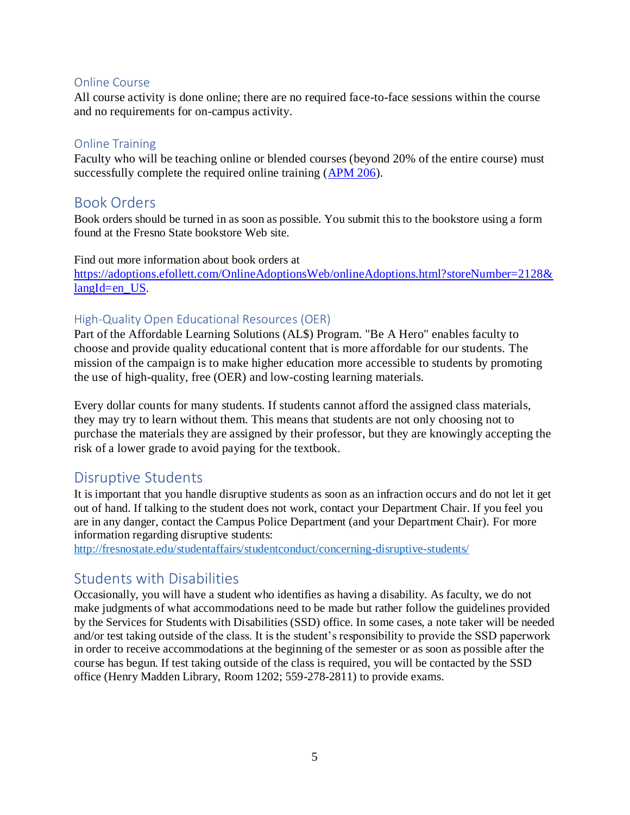#### <span id="page-6-0"></span>Online Course

All course activity is done online; there are no required face-to-face sessions within the course and no requirements for on-campus activity.

#### <span id="page-6-1"></span>Online Training

Faculty who will be teaching online or blended courses (beyond 20% of the entire course) must successfully complete the required online training [\(APM 206\)](http://fresnostate.edu/academics/facultyaffairs/documents/apm/206.pdf).

## <span id="page-6-2"></span>Book Orders

Book orders should be turned in as soon as possible. You submit this to the bookstore using a form found at the Fresno State bookstore Web site.

Find out more information about book orders at [https://adoptions.efollett.com/OnlineAdoptionsWeb/onlineAdoptions.html?storeNumber=2128&](https://adoptions.efollett.com/OnlineAdoptionsWeb/onlineAdoptions.html?storeNumber=2128&langId=en_US) [langId=en\\_US](https://adoptions.efollett.com/OnlineAdoptionsWeb/onlineAdoptions.html?storeNumber=2128&langId=en_US).

#### <span id="page-6-3"></span>High-Quality Open Educational Resources (OER)

Part of the Affordable Learning Solutions (AL\$) Program. "Be A Hero" enables faculty to choose and provide quality educational content that is more affordable for our students. The mission of the campaign is to make higher education more accessible to students by promoting the use of high-quality, free (OER) and low-costing learning materials.

Every dollar counts for many students. If students cannot afford the assigned class materials, they may try to learn without them. This means that students are not only choosing not to purchase the materials they are assigned by their professor, but they are knowingly accepting the risk of a lower grade to avoid paying for the textbook.

# <span id="page-6-4"></span>Disruptive Students

It is important that you handle disruptive students as soon as an infraction occurs and do not let it get out of hand. If talking to the student does not work, contact your Department Chair. If you feel you are in any danger, contact the Campus Police Department (and your Department Chair). For more information regarding disruptive students:

<span id="page-6-5"></span><http://fresnostate.edu/studentaffairs/studentconduct/concerning-disruptive-students/>

# Students with Disabilities

Occasionally, you will have a student who identifies as having a disability. As faculty, we do not make judgments of what accommodations need to be made but rather follow the guidelines provided by the Services for Students with Disabilities (SSD) office. In some cases, a note taker will be needed and/or test taking outside of the class. It is the student's responsibility to provide the SSD paperwork in order to receive accommodations at the beginning of the semester or as soon as possible after the course has begun. If test taking outside of the class is required, you will be contacted by the SSD office (Henry Madden Library, Room 1202; 559-278-2811) to provide exams.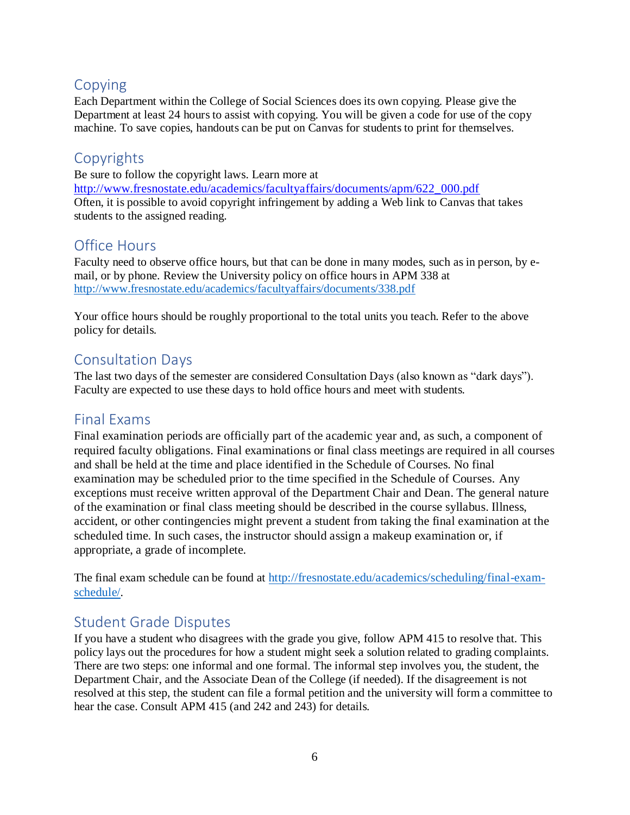# <span id="page-7-0"></span>Copying

Each Department within the College of Social Sciences does its own copying. Please give the Department at least 24 hours to assist with copying. You will be given a code for use of the copy machine. To save copies, handouts can be put on Canvas for students to print for themselves.

# <span id="page-7-1"></span>Copyrights

Be sure to follow the copyright laws. Learn more at [http://www.fresnostate.edu/academics/facultyaffairs/documents/apm/622\\_000.pdf](http://www.fresnostate.edu/academics/facultyaffairs/documents/apm/622_000.pdf) Often, it is possible to avoid copyright infringement by adding a Web link to Canvas that takes students to the assigned reading.

# <span id="page-7-2"></span>Office Hours

Faculty need to observe office hours, but that can be done in many modes, such as in person, by email, or by phone. Review the University policy on office hours in APM 338 at <http://www.fresnostate.edu/academics/facultyaffairs/documents/338.pdf>

Your office hours should be roughly proportional to the total units you teach. Refer to the above policy for details.

# <span id="page-7-3"></span>Consultation Days

The last two days of the semester are considered Consultation Days (also known as "dark days"). Faculty are expected to use these days to hold office hours and meet with students.

# <span id="page-7-4"></span>Final Exams

Final examination periods are officially part of the academic year and, as such, a component of required faculty obligations. Final examinations or final class meetings are required in all courses and shall be held at the time and place identified in the Schedule of Courses. No final examination may be scheduled prior to the time specified in the Schedule of Courses. Any exceptions must receive written approval of the Department Chair and Dean. The general nature of the examination or final class meeting should be described in the course syllabus. Illness, accident, or other contingencies might prevent a student from taking the final examination at the scheduled time. In such cases, the instructor should assign a makeup examination or, if appropriate, a grade of incomplete.

The final exam schedule can be found at [http://fresnostate.edu/academics/scheduling/final-exam](http://fresnostate.edu/academics/scheduling/final-exam-schedule/)[schedule/](http://fresnostate.edu/academics/scheduling/final-exam-schedule/).

# <span id="page-7-5"></span>Student Grade Disputes

If you have a student who disagrees with the grade you give, follow APM 415 to resolve that. This policy lays out the procedures for how a student might seek a solution related to grading complaints. There are two steps: one informal and one formal. The informal step involves you, the student, the Department Chair, and the Associate Dean of the College (if needed). If the disagreement is not resolved at this step, the student can file a formal petition and the university will form a committee to hear the case. Consult APM 415 (and 242 and 243) for details.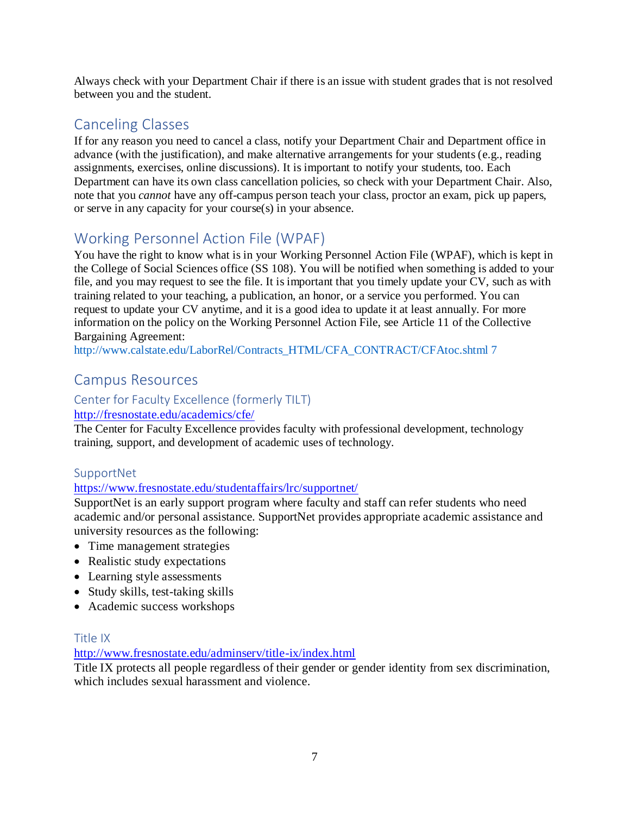Always check with your Department Chair if there is an issue with student grades that is not resolved between you and the student.

# <span id="page-8-0"></span>Canceling Classes

If for any reason you need to cancel a class, notify your Department Chair and Department office in advance (with the justification), and make alternative arrangements for your students (e.g., reading assignments, exercises, online discussions). It is important to notify your students, too. Each Department can have its own class cancellation policies, so check with your Department Chair. Also, note that you *cannot* have any off-campus person teach your class, proctor an exam, pick up papers, or serve in any capacity for your course(s) in your absence.

# <span id="page-8-1"></span>Working Personnel Action File (WPAF)

You have the right to know what is in your Working Personnel Action File (WPAF), which is kept in the College of Social Sciences office (SS 108). You will be notified when something is added to your file, and you may request to see the file. It is important that you timely update your CV, such as with training related to your teaching, a publication, an honor, or a service you performed. You can request to update your CV anytime, and it is a good idea to update it at least annually. For more information on the policy on the Working Personnel Action File, see Article 11 of the Collective Bargaining Agreement:

<span id="page-8-2"></span>http://www.calstate.edu/LaborRel/Contracts\_HTML/CFA\_CONTRACT/CFAtoc.shtml 7

# Campus Resources

#### <span id="page-8-3"></span>Center for Faculty Excellence (formerly TILT)

#### http://fresnostate.edu/academics/cfe/

The Center for Faculty Excellence provides faculty with professional development, technology training, support, and development of academic uses of technology.

#### <span id="page-8-4"></span>SupportNet

#### <https://www.fresnostate.edu/studentaffairs/lrc/supportnet/>

SupportNet is an early support program where faculty and staff can refer students who need academic and/or personal assistance. SupportNet provides appropriate academic assistance and university resources as the following:

- Time management strategies
- Realistic study expectations
- Learning style assessments
- Study skills, test-taking skills
- Academic success workshops

#### <span id="page-8-5"></span>Title IX

#### <http://www.fresnostate.edu/adminserv/title-ix/index.html>

Title IX protects all people regardless of their gender or gender identity from sex discrimination, which includes sexual harassment and violence.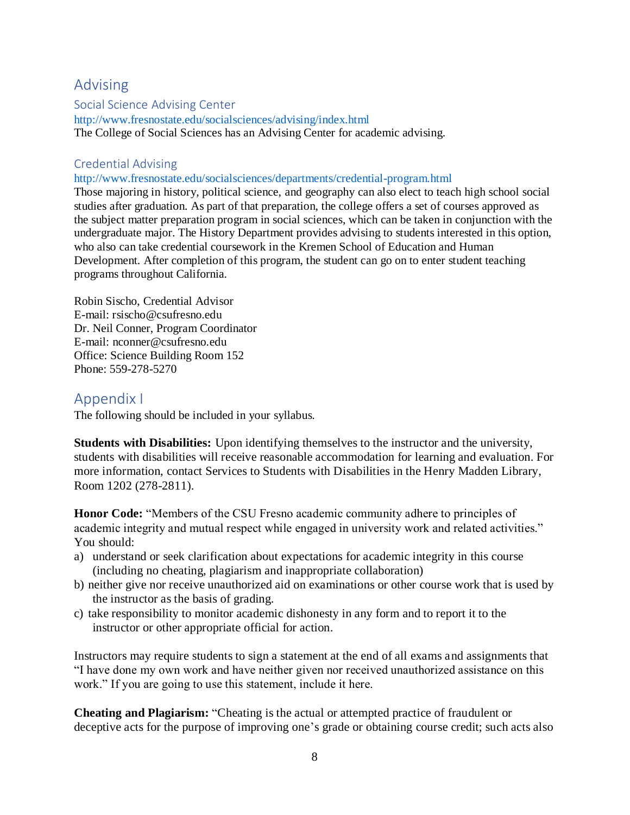# <span id="page-9-0"></span>Advising

<span id="page-9-1"></span>Social Science Advising Center

http://www.fresnostate.edu/socialsciences/advising/index.html The College of Social Sciences has an Advising Center for academic advising.

### <span id="page-9-2"></span>Credential Advising

#### http://www.fresnostate.edu/socialsciences/departments/credential-program.html

Those majoring in history, political science, and geography can also elect to teach high school social studies after graduation. As part of that preparation, the college offers a set of courses approved as the subject matter preparation program in social sciences, which can be taken in conjunction with the undergraduate major. The History Department provides advising to students interested in this option, who also can take credential coursework in the Kremen School of Education and Human Development. After completion of this program, the student can go on to enter student teaching programs throughout California.

Robin Sischo, Credential Advisor E-mail: rsischo@csufresno.edu Dr. Neil Conner, Program Coordinator E-mail: nconner@csufresno.edu Office: Science Building Room 152 Phone: 559-278-5270

# <span id="page-9-3"></span>Appendix I

The following should be included in your syllabus.

**Students with Disabilities:** Upon identifying themselves to the instructor and the university, students with disabilities will receive reasonable accommodation for learning and evaluation. For more information, contact Services to Students with Disabilities in the Henry Madden Library, Room 1202 (278-2811).

**Honor Code:** "Members of the CSU Fresno academic community adhere to principles of academic integrity and mutual respect while engaged in university work and related activities." You should:

- a) understand or seek clarification about expectations for academic integrity in this course (including no cheating, plagiarism and inappropriate collaboration)
- b) neither give nor receive unauthorized aid on examinations or other course work that is used by the instructor as the basis of grading.
- c) take responsibility to monitor academic dishonesty in any form and to report it to the instructor or other appropriate official for action.

Instructors may require students to sign a statement at the end of all exams and assignments that "I have done my own work and have neither given nor received unauthorized assistance on this work." If you are going to use this statement, include it here.

**Cheating and Plagiarism:** "Cheating is the actual or attempted practice of fraudulent or deceptive acts for the purpose of improving one's grade or obtaining course credit; such acts also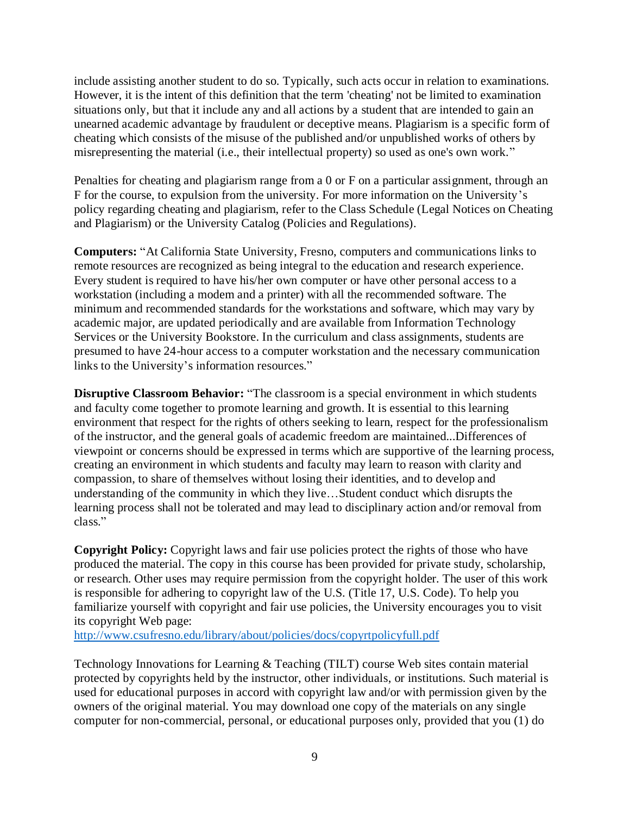include assisting another student to do so. Typically, such acts occur in relation to examinations. However, it is the intent of this definition that the term 'cheating' not be limited to examination situations only, but that it include any and all actions by a student that are intended to gain an unearned academic advantage by fraudulent or deceptive means. Plagiarism is a specific form of cheating which consists of the misuse of the published and/or unpublished works of others by misrepresenting the material (i.e., their intellectual property) so used as one's own work."

Penalties for cheating and plagiarism range from a 0 or F on a particular assignment, through an F for the course, to expulsion from the university. For more information on the University's policy regarding cheating and plagiarism, refer to the Class Schedule (Legal Notices on Cheating and Plagiarism) or the University Catalog (Policies and Regulations).

**Computers:** "At California State University, Fresno, computers and communications links to remote resources are recognized as being integral to the education and research experience. Every student is required to have his/her own computer or have other personal access to a workstation (including a modem and a printer) with all the recommended software. The minimum and recommended standards for the workstations and software, which may vary by academic major, are updated periodically and are available from Information Technology Services or the University Bookstore. In the curriculum and class assignments, students are presumed to have 24-hour access to a computer workstation and the necessary communication links to the University's information resources."

**Disruptive Classroom Behavior:** "The classroom is a special environment in which students and faculty come together to promote learning and growth. It is essential to this learning environment that respect for the rights of others seeking to learn, respect for the professionalism of the instructor, and the general goals of academic freedom are maintained...Differences of viewpoint or concerns should be expressed in terms which are supportive of the learning process, creating an environment in which students and faculty may learn to reason with clarity and compassion, to share of themselves without losing their identities, and to develop and understanding of the community in which they live…Student conduct which disrupts the learning process shall not be tolerated and may lead to disciplinary action and/or removal from class."

**Copyright Policy:** Copyright laws and fair use policies protect the rights of those who have produced the material. The copy in this course has been provided for private study, scholarship, or research. Other uses may require permission from the copyright holder. The user of this work is responsible for adhering to copyright law of the U.S. (Title 17, U.S. Code). To help you familiarize yourself with copyright and fair use policies, the University encourages you to visit its copyright Web page:

<http://www.csufresno.edu/library/about/policies/docs/copyrtpolicyfull.pdf>

Technology Innovations for Learning & Teaching (TILT) course Web sites contain material protected by copyrights held by the instructor, other individuals, or institutions. Such material is used for educational purposes in accord with copyright law and/or with permission given by the owners of the original material. You may download one copy of the materials on any single computer for non-commercial, personal, or educational purposes only, provided that you (1) do